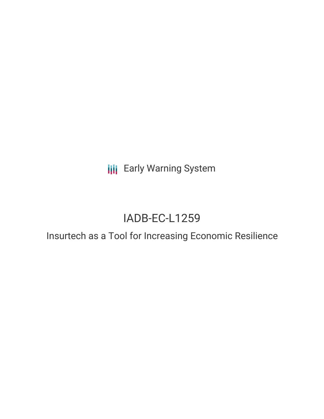**III** Early Warning System

# IADB-EC-L1259

Insurtech as a Tool for Increasing Economic Resilience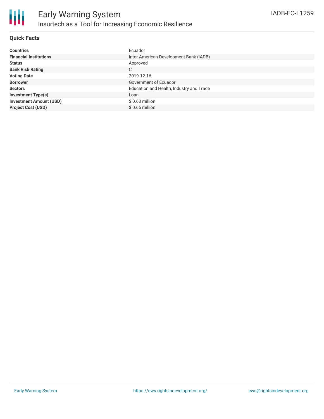

## **Quick Facts**

| <b>Countries</b>               | Ecuador                                  |
|--------------------------------|------------------------------------------|
| <b>Financial Institutions</b>  | Inter-American Development Bank (IADB)   |
| <b>Status</b>                  | Approved                                 |
| <b>Bank Risk Rating</b>        | C                                        |
| <b>Voting Date</b>             | 2019-12-16                               |
| <b>Borrower</b>                | Government of Ecuador                    |
| <b>Sectors</b>                 | Education and Health, Industry and Trade |
| <b>Investment Type(s)</b>      | Loan                                     |
| <b>Investment Amount (USD)</b> | $$0.60$ million                          |
| <b>Project Cost (USD)</b>      | $$0.65$ million                          |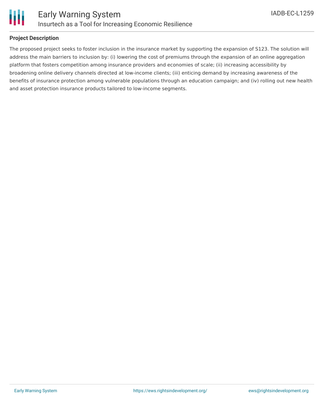

### **Project Description**

The proposed project seeks to foster inclusion in the insurance market by supporting the expansion of S123. The solution will address the main barriers to inclusion by: (i) lowering the cost of premiums through the expansion of an online aggregation platform that fosters competition among insurance providers and economies of scale; (ii) increasing accessibility by broadening online delivery channels directed at low-income clients; (iii) enticing demand by increasing awareness of the benefits of insurance protection among vulnerable populations through an education campaign; and (iv) rolling out new health and asset protection insurance products tailored to low-income segments.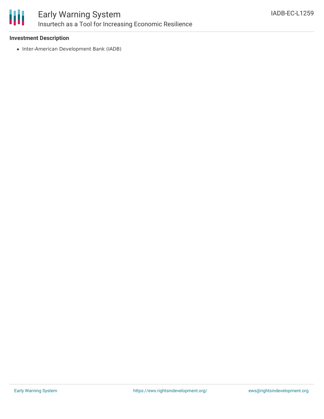

## **Investment Description**

• Inter-American Development Bank (IADB)